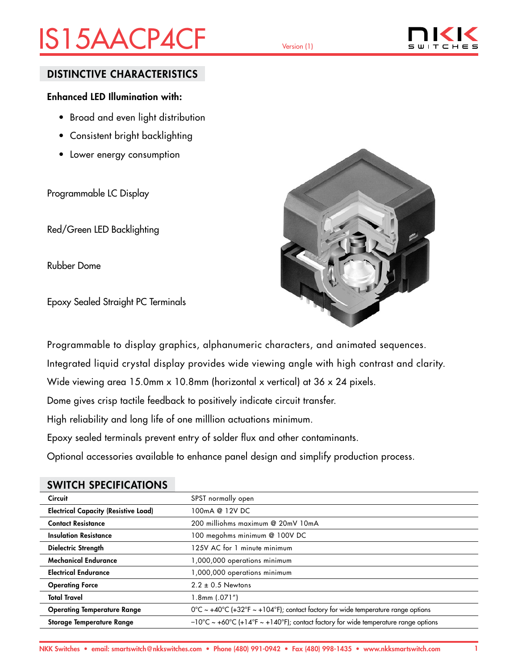# IS15AACP4CF Version (1)



## DISTINCTIVE CHARACTERISTICS

### Enhanced LED Illumination with:

- Broad and even light distribution
- Consistent bright backlighting
- Lower energy consumption

Programmable LC Display

Red/Green LED Backlighting

Rubber Dome

Epoxy Sealed Straight PC Terminals



Programmable to display graphics, alphanumeric characters, and animated sequences.

Integrated liquid crystal display provides wide viewing angle with high contrast and clarity.

Wide viewing area 15.0mm x 10.8mm (horizontal x vertical) at 36 x 24 pixels.

Dome gives crisp tactile feedback to positively indicate circuit transfer.

High reliability and long life of one milllion actuations minimum.

Epoxy sealed terminals prevent entry of solder flux and other contaminants.

Optional accessories available to enhance panel design and simplify production process.

## SWITCH SPECIFICATIONS

| <b>Circuit</b>                              | SPST normally open                                                                           |
|---------------------------------------------|----------------------------------------------------------------------------------------------|
| <b>Electrical Capacity (Resistive Load)</b> | 100mA @ 12V DC                                                                               |
| <b>Contact Resistance</b>                   | 200 milliohms maximum @ 20mV 10mA                                                            |
| <b>Insulation Resistance</b>                | 100 megohms minimum @ 100V DC                                                                |
| Dielectric Strength                         | 125V AC for 1 minute minimum                                                                 |
| <b>Mechanical Endurance</b>                 | 1,000,000 operations minimum                                                                 |
| <b>Electrical Endurance</b>                 | 1,000,000 operations minimum                                                                 |
| <b>Operating Force</b>                      | $2.2 \pm 0.5$ Newtons                                                                        |
| <b>Total Travel</b>                         | 1.8mm (.071")                                                                                |
| <b>Operating Temperature Range</b>          | $0^{\circ}$ C ~ +40°C (+32°F ~ +104°F); contact factory for wide temperature range options   |
| <b>Storage Temperature Range</b>            | $-10^{\circ}$ C ~ +60°C (+14°F ~ +140°F); contact factory for wide temperature range options |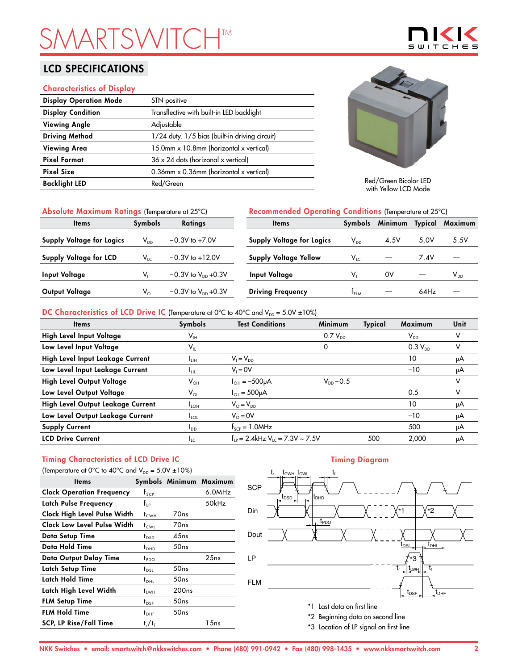# **SMARTSHTM**

## LCD SPECIFICATIONS

#### Characteristics of Display

| <b>Display Operation Mode</b> | STN positive                                          |
|-------------------------------|-------------------------------------------------------|
| <b>Display Condition</b>      | Transflective with built-in LED backlight             |
| <b>Viewing Angle</b>          | Adjustable                                            |
| <b>Driving Method</b>         | 1/24 duty. 1/5 bias (built-in driving circuit)        |
| <b>Viewing Area</b>           | 15.0mm x 10.8mm (horizontal x vertical)               |
| <b>Pixel Format</b>           | $36 \times 24$ dots (horizonal x vertical)            |
| <b>Pixel Size</b>             | 0.36mm $\times$ 0.36mm (horizontal $\times$ vertical) |
| <b>Backlight LED</b>          | Red/Green                                             |
|                               |                                                       |



 $\mathbf{S}$ 

Red/Green Bicolor LED with Yellow LCD Mode

| Absolute Maximum Ratings (Temperature at 25°C) |                |                           | Recommended Operating Conditions (Temperature at 25°C) |                            |         |         |          |
|------------------------------------------------|----------------|---------------------------|--------------------------------------------------------|----------------------------|---------|---------|----------|
| <b>Items</b>                                   | <b>Symbols</b> | <b>Ratings</b>            | <b>Items</b>                                           | Symbols                    | Minimum | Typical | Maximum  |
| <b>Supply Voltage for Logics</b>               | $V_{DD}$       | $-0.3V$ to $+7.0V$        | <b>Supply Voltage for Logics</b>                       | $\mathsf{V}_{\mathsf{DD}}$ | 4.5V    | 5.0V    | 5.5V     |
| <b>Supply Voltage for LCD</b>                  | $V_{LC}$       | $-0.3V$ to $+12.0V$       | <b>Supply Voltage Yellow</b>                           | $V_{LC}$                   |         | 7.4V    |          |
| <b>Input Voltage</b>                           | V.             | $-0.3V$ to $V_{DD}$ +0.3V | Input Voltage                                          | v,                         | 0V      |         | $V_{DD}$ |
| Output Voltage                                 | $V_{\circ}$    | $-0.3V$ to $V_{DD}$ +0.3V | <b>Driving Frequency</b>                               | $t_{FLM}$                  |         | 64Hz    |          |

#### DC Characteristics of LCD Drive IC (Temperature at 0°C to 40°C and  $V_{DD} = 5.0V \pm 10\%$ )

| <b>Items</b>                      | Symbols                    | <b>Test Conditions</b>                           | <b>Minimum</b> | Typical | Maximum                    | Unit |
|-----------------------------------|----------------------------|--------------------------------------------------|----------------|---------|----------------------------|------|
| High Level Input Voltage          | $\mathsf{V}_{\mathsf{IH}}$ |                                                  | $0.7 V_{DD}$   |         | $\mathsf{V}_{\mathsf{DD}}$ |      |
| Low Level Input Voltage           | $\mathsf{V}_{\mathsf{IL}}$ |                                                  | 0              |         | $0.3 V_{DD}$               | v    |
| High Level Input Leakage Current  | Īин                        | $V_1 = V_{DD}$                                   |                |         | 10                         | μA   |
| Low Level Input Leakage Current   | <b>LUL</b>                 | $V_i = 0V$                                       |                |         | $-10$                      | μA   |
| High Level Output Voltage         | $\mathsf{V}_{\mathsf{OH}}$ | $I_{OH} = -500 \mu A$                            | $V_{DD} - 0.5$ |         |                            | v    |
| Low Level Output Voltage          | $V_{OL}$                   | $I_{OL} = 500 \mu A$                             |                |         | 0.5                        | v    |
| High Level Output Leakage Current | $I_{LOH}$                  | $V_{\odot} = V_{\text{DD}}$                      |                |         | 10                         | μA   |
| Low Level Output Leakage Current  | $I_{\text{LOL}}$           | $V_0 = 0V$                                       |                |         | $-10$                      | μA   |
| <b>Supply Current</b>             | $I_{DD}$                   | $f_{\text{SCP}} = 1.0$ MHz                       |                |         | 500                        | μA   |
| <b>LCD Drive Current</b>          | $I_{LC}$                   | $f_{1p} = 2.4$ kHz V <sub>10</sub> = 7.3V ~ 7.5V |                | 500     | 2.000                      | μA   |

# Timing Characteristics of LCD Drive IC

| (Temperature at 0°C to 40°C and $V_{DD} = 5.0V \pm 10\%$ ) |                  |                   |                         |  |  |  |
|------------------------------------------------------------|------------------|-------------------|-------------------------|--|--|--|
| <b>Items</b>                                               |                  |                   | Symbols Minimum Maximum |  |  |  |
| <b>Clock Operation Frequency</b>                           | $f_{\text{SCP}}$ |                   | 6.0MHz                  |  |  |  |
| Latch Pulse Frequency                                      | $f_{\rm IP}$     |                   | 50kHz                   |  |  |  |
| Clock High Level Pulse Width                               | $t_{\text{CWH}}$ | 70 <sub>ns</sub>  |                         |  |  |  |
| Clock Low Level Pulse Width                                | t <sub>cwi</sub> | 70 <sub>ns</sub>  |                         |  |  |  |
| Data Setup Time                                            | $t_{\text{DSD}}$ | 45ns              |                         |  |  |  |
| Data Hold Time                                             | $t_{DHD}$        | 50ns              |                         |  |  |  |
| Data Output Delay Time                                     | $t_{PDO}$        |                   | 25ns                    |  |  |  |
| Latch Setup Time                                           | $t_{DSL}$        | 50ns              |                         |  |  |  |
| Latch Hold Time                                            | $t_{DHL}$        | 50ns              |                         |  |  |  |
| Latch High Level Width                                     | <sup>t</sup> LWH | 200 <sub>ns</sub> |                         |  |  |  |
| <b>FLM Setup Time</b>                                      | $t_{DSF}$        | 50ns              |                         |  |  |  |
| <b>FLM Hold Time</b>                                       | $t_{\text{DHF}}$ | 50ns              |                         |  |  |  |
| <b>SCP, LP Rise/Fall Time</b>                              | $t_r/t_f$        |                   | 1 5 n s                 |  |  |  |

### Timing Diagram



\*3 Location of LP signal on first line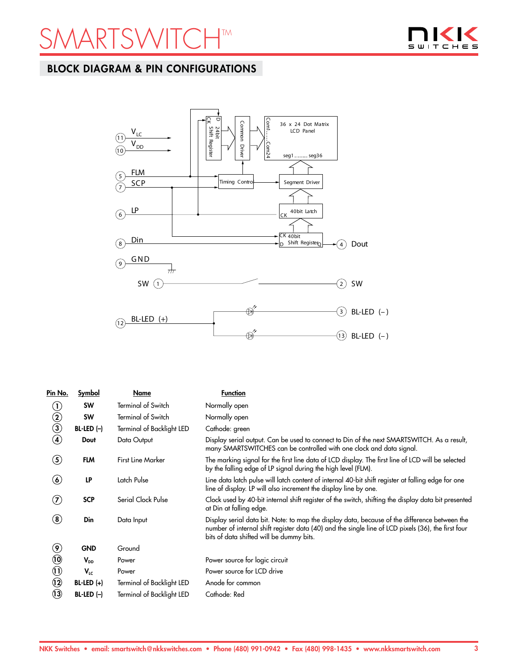



## BLOCK DIAGRAM & PIN CONFIGURATIONS



| Pin No.                              | <b>Symbol</b> | Name                      | <b>Function</b>                                                                                                                                                                                                                                 |
|--------------------------------------|---------------|---------------------------|-------------------------------------------------------------------------------------------------------------------------------------------------------------------------------------------------------------------------------------------------|
| $\left( 1\right)$                    | <b>SW</b>     | <b>Terminal of Switch</b> | Normally open                                                                                                                                                                                                                                   |
|                                      | <b>SW</b>     | <b>Terminal of Switch</b> | Normally open                                                                                                                                                                                                                                   |
| $\begin{matrix} 2 \\ 3 \end{matrix}$ | $BL-LED (-)$  | Terminal of Backlight LED | Cathode: green                                                                                                                                                                                                                                  |
| 4                                    | Dout          | Data Output               | Display serial output. Can be used to connect to Din of the next SMARTSWITCH. As a result,<br>many SMARTSWITCHES can be controlled with one clock and data signal.                                                                              |
| $\left( 5\right)$                    | <b>FLM</b>    | <b>First Line Marker</b>  | The marking signal for the first line data of LCD display. The first line of LCD will be selected<br>by the falling edge of LP signal during the high level (FLM).                                                                              |
| $\bf(6)$                             | LP            | Latch Pulse               | Line data latch pulse will latch content of internal 40-bit shift register at falling edge for one<br>line of display. LP will also increment the display line by one.                                                                          |
| $\left( \mathbf{Z}\right)$           | <b>SCP</b>    | Serial Clock Pulse        | Clock used by 40-bit internal shift register of the switch, shifting the display data bit presented<br>at Din at falling edge.                                                                                                                  |
| $\left( \bf{8}\right)$               | Din           | Data Input                | Display serial data bit. Note: to map the display data, because of the difference between the<br>number of internal shift register data (40) and the single line of LCD pixels (36), the first four<br>bits of data shifted will be dummy bits. |
| $\circledast$                        | <b>GND</b>    | Ground                    |                                                                                                                                                                                                                                                 |
| $\circledR$                          | $V_{DD}$      | Power                     | Power source for logic circuit                                                                                                                                                                                                                  |
| $\textcircled{\scriptsize{1}}$       | $V_{LC}$      | Power                     | Power source for LCD drive                                                                                                                                                                                                                      |
| $\odot$                              | $BL-LED (+)$  | Terminal of Backlight LED | Anode for common                                                                                                                                                                                                                                |
| $\mathbf{u}$                         | $BL-LED (-)$  | Terminal of Backlight LED | Cathode: Red                                                                                                                                                                                                                                    |